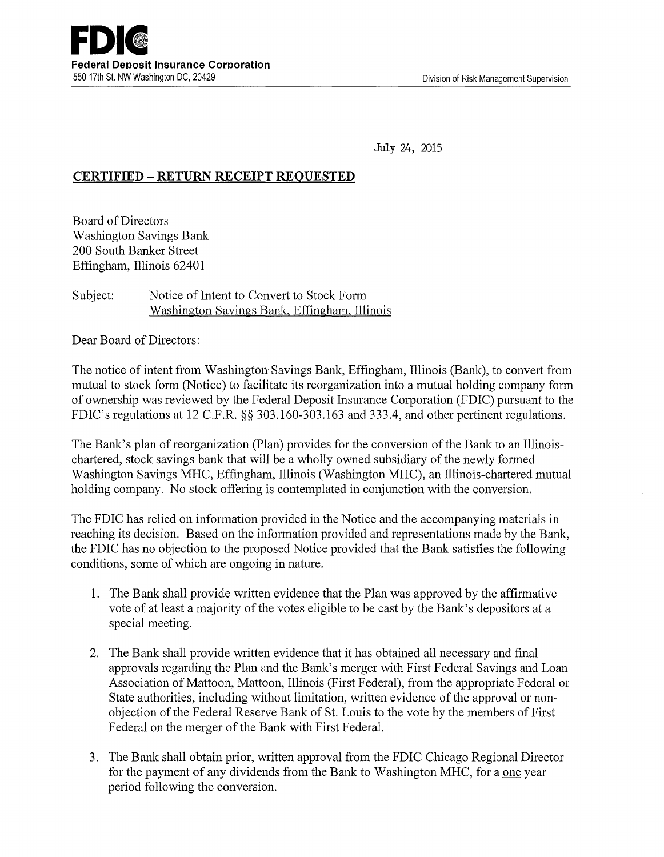July 24, 2015

## **CERTIFIED- RETURN RECEIPT REQUESTED**

Board of Directors Washington Savings Bank 200 South Banker Street Effingham, Illinois 6240 1

## Subject: Notice of Intent to Convert to Stock Form Washington Savings Bank, Effingham, Illinois

Dear Board of Directors:

The notice of intent from Washington Savings Bank, Effingham, Illinois (Bank), to convert from mutual to stock form (Notice) to facilitate its reorganization into a mutual holding company form of ownership was reviewed by the Federal Deposit Insurance Corporation (FDIC) pursuant to the FDIC's regulations at 12 C.F.R. §§ 303.160-303.163 and 333.4, and other pertinent regulations.

The Bank's plan of reorganization (Plan) provides for the conversion of the Bank to an Illinoischartered, stock savings bank that will be a wholly owned subsidiary of the newly formed Washington Savings MHC, Effingham, Illinois (Washington MHC), an Illinois-chartered mutual holding company. No stock offering is contemplated in conjunction with the conversion.

The FDIC has relied on information provided in the Notice and the accompanying materials in reaching its decision. Based on the information provided and representations made by the Bank, the FDIC has no objection to the proposed Notice provided that the Bank satisfies the following conditions, some of which are ongoing in nature.

- 1. The Bank shall provide written evidence that the Plan was approved by the affirmative vote of at least a majority of the votes eligible to be cast by the Banlc's depositors at a special meeting.
- 2. The Bank shall provide written evidence that it has obtained all necessary and final approvals regarding the Plan and the Bank's merger with First Federal Savings and Loan Association of Mattoon, Mattoon, Illinois (First Federal), from the appropriate Federal or State authorities, including without limitation, written evidence of the approval or nonobjection of the Federal Reserve Bank of St. Louis to the vote by the members of First Federal on the merger of the Bank with First Federal.
- 3. The Bank shall obtain prior, written approval from the FDIC Chicago Regional Director for the payment of any dividends from the Bank to Washington MHC, for a one year period following the conversion.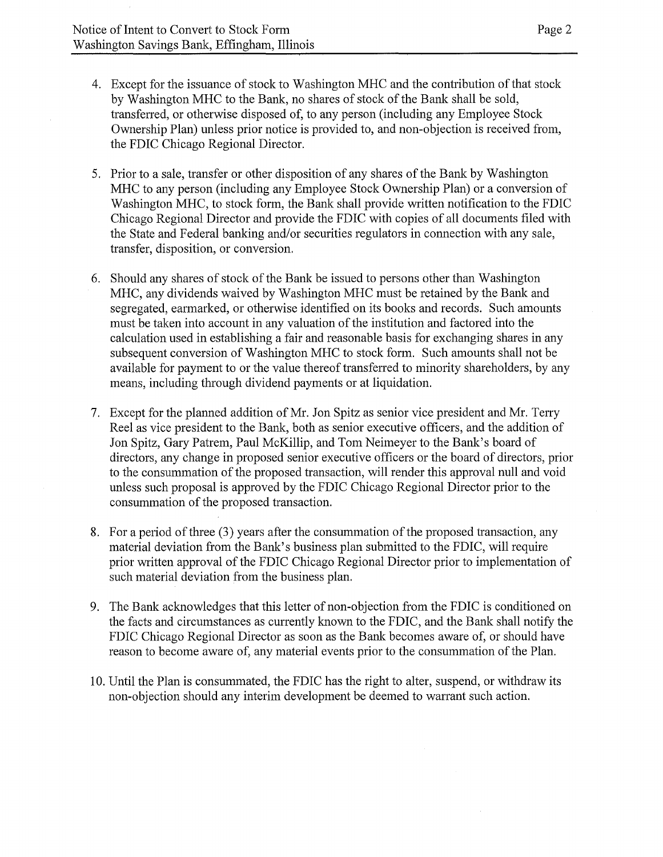- 4. Except for the issuance of stock to Washington MHC and the contribution of that stock by Washington MHC to the Bank, no shares of stock of the Bank shall be sold, transferred, or otherwise disposed of, to any person (including any Employee Stock Ownership Plan) unless prior notice is provided to, and non-objection is received from, the FDIC Chicago Regional Director.
- 5. Prior to a sale, transfer or other disposition of any shares of the Bank by Washington MHC to any person (including any Employee Stock Ownership Plan) or a conversion of Washington MHC, to stock form, the Bank shall provide written notification to the FDIC Chicago Regional Director and provide the FDIC with copies of all documents filed with the State and Federal banking and/or securities regulators in connection with any sale, transfer, disposition, or conversion.
- 6. Should any shares of stock of the Bank be issued to persons other than Washington MHC, any dividends waived by Washington MHC must be retained by the Bank and segregated, earmarked, or otherwise identified on its books and records. Such amounts must be taken into account in any valuation of the institution and factored into the calculation used in establishing a fair and reasonable basis for exchanging shares in any subsequent conversion of Washington MHC to stock form. Such amounts shall not be available for payment to or the value thereof transferred to minority shareholders, by any means, including through dividend payments or at liquidation.
- 7. Except for the planned addition of Mr. Jon Spitz as senior vice president and Mr. Terry Reel as vice president to the Bank, both as senior executive officers, and the addition of Jon Spitz, Gary Patrem, Paul McKillip, and Tom Neimeyer to the Bank's board of directors, any change in proposed senior executive officers or the board of directors, prior to the consummation of the proposed transaction, will render this approval null and void unless such proposal is approved by the FDIC Chicago Regional Director prior to the consummation of the proposed transaction.
- 8. For a period of three (3) years after the consummation of the proposed transaction, any material deviation from the Bank's business plan submitted to the FDIC, will require prior written approval of the FDIC Chicago Regional Director prior to implementation of such material deviation from the business plan.
- 9. The Bank acknowledges that this letter of non-objection from the FDIC is conditioned on the facts and circumstances as currently known to the FDIC, and the Bank shall notify the FDIC Chicago Regional Director as soon as the Bank becomes aware of, or should have reason to become aware of, any material events prior to the consummation of the Plan.
- 10. Until the Plan is consummated, the FDIC has the right to alter, suspend, or withdraw its non-objection should any interim development be deemed to warrant such action.